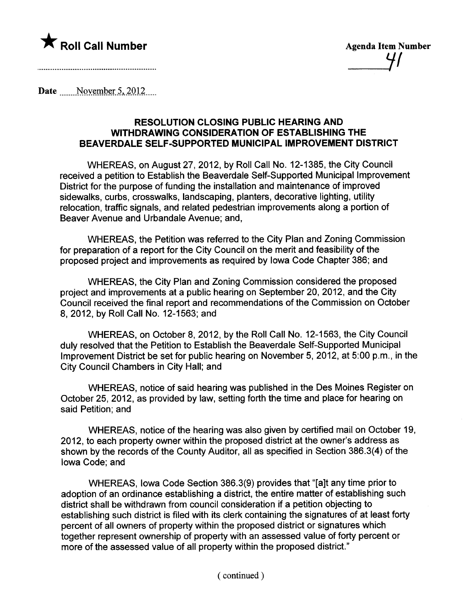

Date  $\frac{\text{November 5, 2012}}{\text{November 5}}$ 

### RESOLUTION CLOSING PUBLIC HEARING AND WITHDRAWING CONSIDERATION OF ESTABLISHING THE BEAVERDALE SELF-SUPPORTED MUNICIPAL IMPROVEMENT DISTRICT

WHEREAS, on August 27,2012, by Roll Call No. 12-1385, the City Council received a petition to Establish the Beaverdale Self-Supported Municipal Improvement District for the purpose of funding the installation and maintenance of improved sidewalks, curbs, crosswalks, landscaping, planters, decorative lighting, utility relocation, traffic signals, and related pedestrian improvements along a portion of Beaver Avenue and Urbandale Avenue; and,

WHEREAS, the Petition was referred to the City Plan and Zoning Commission for preparation of a report for the City Council on the merit and feasibility of the proposed project and improvements as required by Iowa Code Chapter 386; and

WHEREAS, the City Plan and Zoning Commission considered the proposed project and improvements at a public hearing on September 20,2012, and the City Council received the final report and recommendations of the Commission on October 8, 2012, by Roll Call No. 12-1563; and

WHEREAS, on October 8,2012, by the Roll Call No. 12-1563, the City Council duly resolved that the Petition to Establish the Beaverdale Self-Supported Municipal Improvement District be set for public hearing on November 5,2012, at 5:00 p.m., in the City Council Chambers in City Hall; and

WHEREAS, notice of said hearing was published in the Des Moines Register on October 25, 2012, as provided by law, setting forth the time and place for hearing on said Petition; and

WHEREAS, notice of the hearing was also given by certified mail on October 19, 2012, to each property owner within the proposed district at the owner's address as shown by the records of the County Auditor, all as specified in Section 386.3(4) of the Iowa Code; and

WHEREAS, Iowa Code Section 386.3(9) provides that "(alt any time prior to adoption of an ordinance establishing a district, the entire matter of establishing such district shall be withdrawn from council consideration if a petition objecting to establishing such district is filed with its clerk containing the signatures of at least forty percent of all owners of property within the proposed district or signatures which together represent ownership of property with an assessed value of forty percent or more of the assessed value of all property within the proposed district."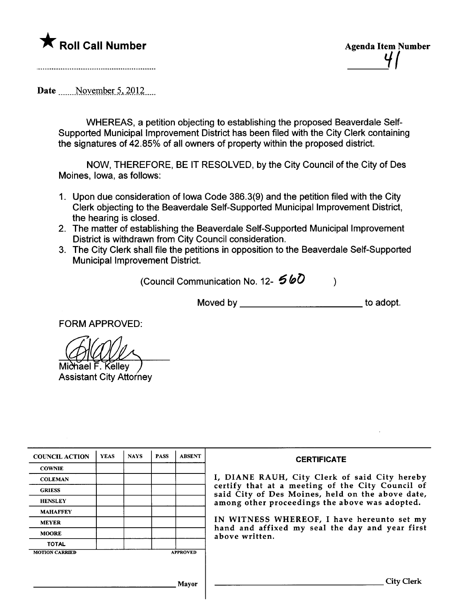



Date  $\blacksquare$  November 5, 2012

WHEREAS, a petition objecting to establishing the proposed Beaverdale Self-Supported Municipal Improvement District has been filed with the City Clerk containing the signatures of 42.85% of all owners of property within the proposed district.

NOW, THEREFORE, BE IT RESOLVED, by the City Council of the. City of Des Moines, Iowa, as follows:

- 1. Upon due consideration of Iowa Code 386.3(9) and the petition filed with the City Clerk objecting to the Beaverdale Self-Supported Municipal Improvement District, the hearing is closed.
- 2. The matter of establishing the Beaverdale Self-Supported Municipal Improvement District is withdrawn from City Council consideration.
- 3. The City Clerk shall file the petitions in opposition to the Beaverdale Self-Supported Municipal Improvement District.

(Council Communication No. 12-  $560$  )

Moved by to adopt.

FORM APPROVED:

nael F. Kellev **Assistant City Attorney** 

| <b>COUNCIL ACTION</b> | <b>YEAS</b> | <b>NAYS</b> | <b>PASS</b> | <b>ABSENT</b>   | <b>CERTIFICATE</b>                                                                                   |  |
|-----------------------|-------------|-------------|-------------|-----------------|------------------------------------------------------------------------------------------------------|--|
| <b>COWNIE</b>         |             |             |             |                 |                                                                                                      |  |
| <b>COLEMAN</b>        |             |             |             |                 | I, DIANE RAUH, City Clerk of said City hereby                                                        |  |
| <b>GRIESS</b>         |             |             |             |                 | certify that at a meeting of the City Council of<br>said City of Des Moines, held on the above date, |  |
| <b>HENSLEY</b>        |             |             |             |                 | among other proceedings the above was adopted.                                                       |  |
| <b>MAHAFFEY</b>       |             |             |             |                 |                                                                                                      |  |
| <b>MEYER</b>          |             |             |             |                 | IN WITNESS WHEREOF, I have hereunto set my                                                           |  |
| <b>MOORE</b>          |             |             |             |                 | hand and affixed my seal the day and year first<br>above written.                                    |  |
| <b>TOTAL</b>          |             |             |             |                 |                                                                                                      |  |
| <b>MOTION CARRIED</b> |             |             |             | <b>APPROVED</b> |                                                                                                      |  |
|                       |             |             |             |                 |                                                                                                      |  |
|                       |             |             |             |                 |                                                                                                      |  |
|                       |             |             |             | Mavor           | Citv                                                                                                 |  |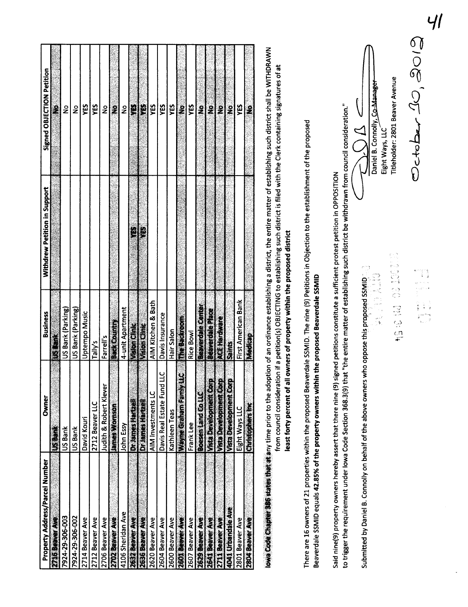| Signed OBJECTION Petition<br>2<br>ដ្ឋ<br>YES<br>Ĥ<br>YES<br>YES<br>Ê<br>YES<br>YES<br>$\frac{1}{2}$<br>é,<br>$\frac{1}{2}$<br>ş<br>$\frac{1}{2}$<br>$\tilde{\mathbf{z}}$<br>$\frac{9}{2}$<br>ş<br>$\ddot{\bm{z}}$<br>$\frac{1}{2}$<br>Withdrew Petition in Support<br>H<br>急<br>AIM Kitchen & Bath<br>Beaverdale Center<br>US Bank (Parking)<br>4-unit Apartment<br>US Bank (Parking)<br>Beaverdale Place<br>Uptempo Music<br><b>Business</b><br>Davis Insurance<br>The Backroom<br>ACE Hardware<br><b>BackCountry</b><br>Vision Cinic<br>Vision Clinic<br>Hair Salon<br>Rice Bowl<br>Farrell's<br>Tally's<br>Saints<br>$\overline{\mathbf{u}}$<br>ب<br>Vacionalemention<br>Vista Development Corp<br>Davis Real Estate Fund L<br>Vista Development.Com<br>Wayne Greiham Fanny L<br>Judith & Robert Klever<br>AIM Investments LC<br>Boesen Land ColLC<br>Owner<br>Dr. James Harrell<br><b>Drumes Hartel</b><br>2712 Beaver LLC<br>Janes Womson<br>Kathleen Teas<br>David Kouri<br>Frank Lee<br>John Essy<br><b>SERIES</b><br>US Bank<br>US Bank | YES<br>First American Bank<br>Eight Ways LLC | <b>Property Address/Parcel Number</b><br>4041 Urbandale Ave<br>4106 Sheridan Ave<br>7924-29-306-003<br>2716 Beaver Ave<br>7924-29-306-002<br>2712 Beaver Ave<br>2702 Beaver Ave<br>2632 Beaver Ave<br>2636 Beaver Ave<br>2629 Beaver Ave<br>2711 Beaver Ave<br>2714 Beaver Ave<br>2706 Beaver Ave<br>2604 Beaver Ave<br>2600 Beaver Ave<br>2601 Beaver Ave<br>2607 Beaver Ave<br>2641 Beaver Ave<br>2620 Beaver Ave<br>2801 Beaver Ave |
|-------------------------------------------------------------------------------------------------------------------------------------------------------------------------------------------------------------------------------------------------------------------------------------------------------------------------------------------------------------------------------------------------------------------------------------------------------------------------------------------------------------------------------------------------------------------------------------------------------------------------------------------------------------------------------------------------------------------------------------------------------------------------------------------------------------------------------------------------------------------------------------------------------------------------------------------------------------------------------------------------------------------------------------------------|----------------------------------------------|----------------------------------------------------------------------------------------------------------------------------------------------------------------------------------------------------------------------------------------------------------------------------------------------------------------------------------------------------------------------------------------------------------------------------------------|
|                                                                                                                                                                                                                                                                                                                                                                                                                                                                                                                                                                                                                                                                                                                                                                                                                                                                                                                                                                                                                                                 |                                              |                                                                                                                                                                                                                                                                                                                                                                                                                                        |
|                                                                                                                                                                                                                                                                                                                                                                                                                                                                                                                                                                                                                                                                                                                                                                                                                                                                                                                                                                                                                                                 |                                              |                                                                                                                                                                                                                                                                                                                                                                                                                                        |
|                                                                                                                                                                                                                                                                                                                                                                                                                                                                                                                                                                                                                                                                                                                                                                                                                                                                                                                                                                                                                                                 |                                              |                                                                                                                                                                                                                                                                                                                                                                                                                                        |
|                                                                                                                                                                                                                                                                                                                                                                                                                                                                                                                                                                                                                                                                                                                                                                                                                                                                                                                                                                                                                                                 |                                              |                                                                                                                                                                                                                                                                                                                                                                                                                                        |
|                                                                                                                                                                                                                                                                                                                                                                                                                                                                                                                                                                                                                                                                                                                                                                                                                                                                                                                                                                                                                                                 |                                              |                                                                                                                                                                                                                                                                                                                                                                                                                                        |
|                                                                                                                                                                                                                                                                                                                                                                                                                                                                                                                                                                                                                                                                                                                                                                                                                                                                                                                                                                                                                                                 |                                              |                                                                                                                                                                                                                                                                                                                                                                                                                                        |
|                                                                                                                                                                                                                                                                                                                                                                                                                                                                                                                                                                                                                                                                                                                                                                                                                                                                                                                                                                                                                                                 |                                              |                                                                                                                                                                                                                                                                                                                                                                                                                                        |
|                                                                                                                                                                                                                                                                                                                                                                                                                                                                                                                                                                                                                                                                                                                                                                                                                                                                                                                                                                                                                                                 |                                              |                                                                                                                                                                                                                                                                                                                                                                                                                                        |
|                                                                                                                                                                                                                                                                                                                                                                                                                                                                                                                                                                                                                                                                                                                                                                                                                                                                                                                                                                                                                                                 |                                              |                                                                                                                                                                                                                                                                                                                                                                                                                                        |
|                                                                                                                                                                                                                                                                                                                                                                                                                                                                                                                                                                                                                                                                                                                                                                                                                                                                                                                                                                                                                                                 |                                              |                                                                                                                                                                                                                                                                                                                                                                                                                                        |
|                                                                                                                                                                                                                                                                                                                                                                                                                                                                                                                                                                                                                                                                                                                                                                                                                                                                                                                                                                                                                                                 |                                              |                                                                                                                                                                                                                                                                                                                                                                                                                                        |
|                                                                                                                                                                                                                                                                                                                                                                                                                                                                                                                                                                                                                                                                                                                                                                                                                                                                                                                                                                                                                                                 |                                              |                                                                                                                                                                                                                                                                                                                                                                                                                                        |
|                                                                                                                                                                                                                                                                                                                                                                                                                                                                                                                                                                                                                                                                                                                                                                                                                                                                                                                                                                                                                                                 |                                              |                                                                                                                                                                                                                                                                                                                                                                                                                                        |
|                                                                                                                                                                                                                                                                                                                                                                                                                                                                                                                                                                                                                                                                                                                                                                                                                                                                                                                                                                                                                                                 |                                              |                                                                                                                                                                                                                                                                                                                                                                                                                                        |
|                                                                                                                                                                                                                                                                                                                                                                                                                                                                                                                                                                                                                                                                                                                                                                                                                                                                                                                                                                                                                                                 |                                              |                                                                                                                                                                                                                                                                                                                                                                                                                                        |
|                                                                                                                                                                                                                                                                                                                                                                                                                                                                                                                                                                                                                                                                                                                                                                                                                                                                                                                                                                                                                                                 |                                              |                                                                                                                                                                                                                                                                                                                                                                                                                                        |
|                                                                                                                                                                                                                                                                                                                                                                                                                                                                                                                                                                                                                                                                                                                                                                                                                                                                                                                                                                                                                                                 |                                              |                                                                                                                                                                                                                                                                                                                                                                                                                                        |
|                                                                                                                                                                                                                                                                                                                                                                                                                                                                                                                                                                                                                                                                                                                                                                                                                                                                                                                                                                                                                                                 |                                              |                                                                                                                                                                                                                                                                                                                                                                                                                                        |
|                                                                                                                                                                                                                                                                                                                                                                                                                                                                                                                                                                                                                                                                                                                                                                                                                                                                                                                                                                                                                                                 |                                              |                                                                                                                                                                                                                                                                                                                                                                                                                                        |
|                                                                                                                                                                                                                                                                                                                                                                                                                                                                                                                                                                                                                                                                                                                                                                                                                                                                                                                                                                                                                                                 |                                              |                                                                                                                                                                                                                                                                                                                                                                                                                                        |
|                                                                                                                                                                                                                                                                                                                                                                                                                                                                                                                                                                                                                                                                                                                                                                                                                                                                                                                                                                                                                                                 |                                              |                                                                                                                                                                                                                                                                                                                                                                                                                                        |
|                                                                                                                                                                                                                                                                                                                                                                                                                                                                                                                                                                                                                                                                                                                                                                                                                                                                                                                                                                                                                                                 |                                              |                                                                                                                                                                                                                                                                                                                                                                                                                                        |
|                                                                                                                                                                                                                                                                                                                                                                                                                                                                                                                                                                                                                                                                                                                                                                                                                                                                                                                                                                                                                                                 |                                              |                                                                                                                                                                                                                                                                                                                                                                                                                                        |
|                                                                                                                                                                                                                                                                                                                                                                                                                                                                                                                                                                                                                                                                                                                                                                                                                                                                                                                                                                                                                                                 |                                              | £<br><b>QealgeM</b><br>2804 Beaver Ave                                                                                                                                                                                                                                                                                                                                                                                                 |
|                                                                                                                                                                                                                                                                                                                                                                                                                                                                                                                                                                                                                                                                                                                                                                                                                                                                                                                                                                                                                                                 |                                              | Christophers Inc.                                                                                                                                                                                                                                                                                                                                                                                                                      |
|                                                                                                                                                                                                                                                                                                                                                                                                                                                                                                                                                                                                                                                                                                                                                                                                                                                                                                                                                                                                                                                 |                                              |                                                                                                                                                                                                                                                                                                                                                                                                                                        |
|                                                                                                                                                                                                                                                                                                                                                                                                                                                                                                                                                                                                                                                                                                                                                                                                                                                                                                                                                                                                                                                 |                                              |                                                                                                                                                                                                                                                                                                                                                                                                                                        |
|                                                                                                                                                                                                                                                                                                                                                                                                                                                                                                                                                                                                                                                                                                                                                                                                                                                                                                                                                                                                                                                 |                                              |                                                                                                                                                                                                                                                                                                                                                                                                                                        |

 $\overline{\mathcal{H}}$ 

 $\ddot{\phantom{0}}$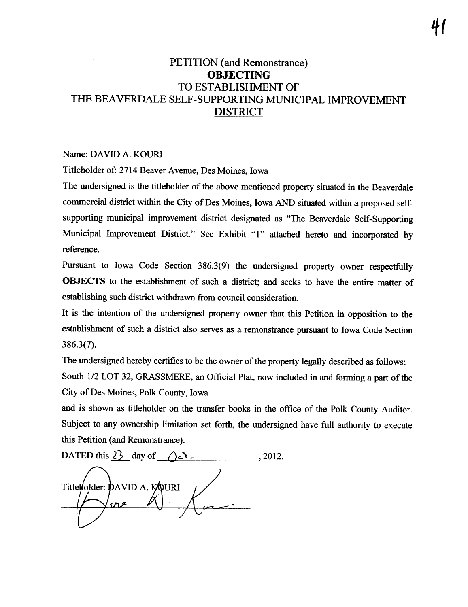# PETITION (and Remonstrance) **OBJECTING** TO ESTABLISHMENT OF THE BEAVERDALE SELF-SUPPORTING MUNICIPAL IMPROVEMENT **DISTRICT**

#### Name: DAVID A, KOURI

Titleholder of: 2714 Beaver Avenue, Des Moines, Iowa

The undersigned is the titleholder of the above mentioned property situated in the Beaverdale commercial district within the City of Des Moines, Iowa AND situated within a proposed selfsupporting municipal improvement district designated as "The Beaverdale Self-Supporting Municipal Improvement District." See Exhibit "1" attached hereto and incorporated by reference,

Pursuant to Iowa Code Section 386.3(9) the undersigned property owner respectfully OBJECTS to the establishment of such a district; and seeks to have the entire matter of establishing such district withdrawn from council consideration.

It is the intention of the undersigned property owner that this Petition in opposition to the establishment of such a district also serves as a remonstrance pursuant to Iowa Code Section 386.3(7).

The undersigned hereby certifies to be the owner of the property legally described as follows: South 1/2 LOT 32, GRASSMERE, an Official Plat, now included in and forming a part of the City of Des Moines, Polk County, Iowa

and is shown as titleholder on the transfer books in the office of the Polk County Auditor. Subject to any ownership limitation set forth, the undersigned have full authority to execute this Petition (and Remonstrance).

DATED this  $2^{\frac{1}{2}}$  day of  $\bigcap_{\alpha} \mathcal{N}$ . , 2012. Titletolder: DAVID A. KOURI عهن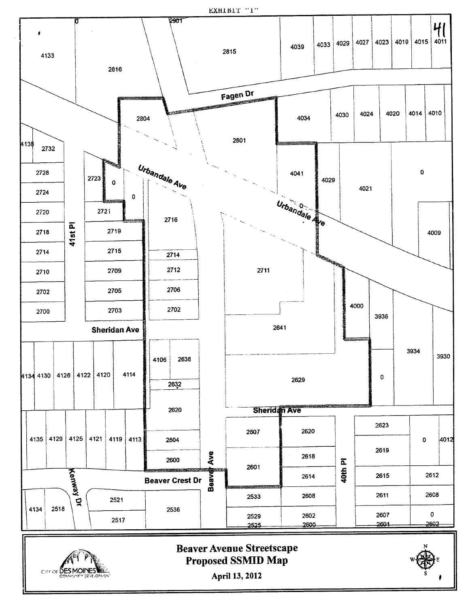EXHIBIT "I"



April 13, 2012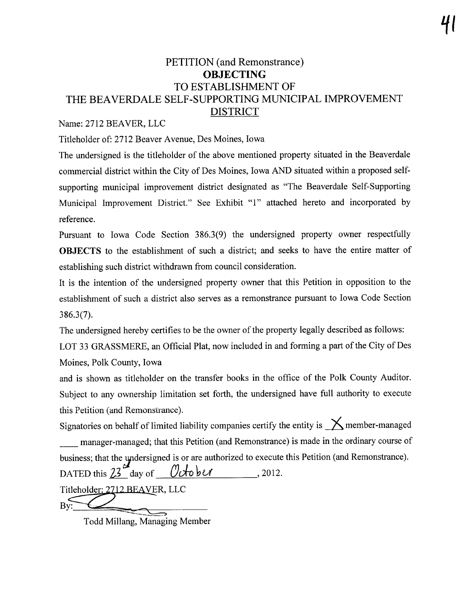# PETITION (and Remonstrance) **OBJECTING** TO ESTABLISHMENT OF THE BEAVERDALE SELF-SUPPORTING MUNICIPAL IMPROVEMENT DISTRICT

### Name: 2712 BEAVER, LLC

Titleholder of: 2712 Beaver Avenue, Des Moines, Iowa

The undersigned is the titleholder of the above mentioned property situated in the Beaverdale commercial district within the City of Des Moines, Iowa AND situated within a proposed selfsupporting municipal improvement district designated as "The Beaverdale Self-Supporting Municipal Improvement District." See Exhibit "1" attached hereto and incorporated by reference,

Pursuant to Iowa Code Section 386,3(9) the undersigned property owner respectfully OBJECTS to the establishment of such a district; and seeks to have the entire matter of establishing such district withdrawn from council consideration,

It is the intention of the undersigned property owner that this Petition in opposition to the establishment of such a district also serves as a remonstrance pursuant to Iowa Code Section 386,3(7),

The undersigned hereby certifies to be the owner of the property legally described as follows:

LOT 33 GRASSMERE, an Official Plat, now included in and forming a part of the City of Des Moines, Polk County, Iowa

and is shown as titleholder on the transfer books in the office of the Polk County Auditor. Subject to any ownership limitation set forth, the undersigned have full authority to execute this Petition (and Remonstrance),

Signatories on behalf of limited liability companies certify the entity is  $\diagup$  member-managed manager-managed; that this Petition (and Remonstrance) is made in the ordinary course of business; that the yndersigned is or are authorized to execute this Petition (and Remonstrance).

DATED this  $23$  day of  $\theta$ tober, 2012.

 $\overline{By}$ :  $\overline{C}$ 

Todd Milang, Managing Member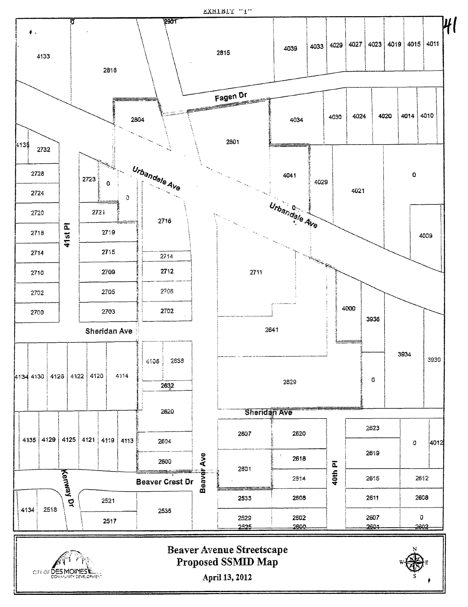EXHIBIT "I"





**Beaver Avenue Streetscape** Proposed SSMID Map

April 13, 2012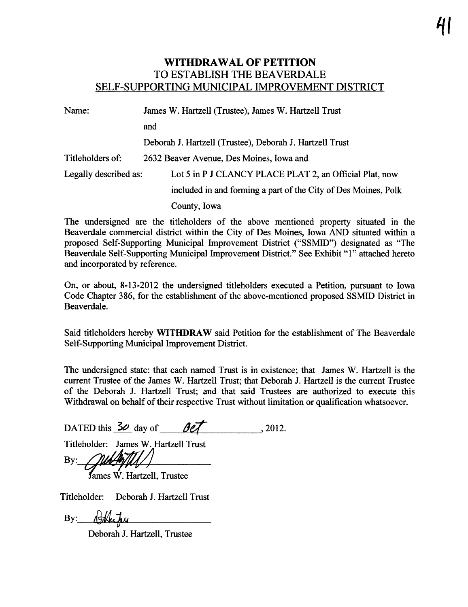### WITHDRAWAL OF PETITION TO ESTABLISH THE BEAVERDALE SELF-SUPPORTING MUNICIPAL IMPROVEMENT DISTRICT

| Name:                 | James W. Hartzell (Trustee), James W. Hartzell Trust<br>and    |  |  |  |  |  |
|-----------------------|----------------------------------------------------------------|--|--|--|--|--|
|                       |                                                                |  |  |  |  |  |
|                       | Deborah J. Hartzell (Trustee), Deborah J. Hartzell Trust       |  |  |  |  |  |
| Titleholders of:      | 2632 Beaver Avenue, Des Moines, Iowa and                       |  |  |  |  |  |
| Legally described as: | Lot 5 in P J CLANCY PLACE PLAT 2, an Official Plat, now        |  |  |  |  |  |
|                       | included in and forming a part of the City of Des Moines, Polk |  |  |  |  |  |
|                       | County, Iowa                                                   |  |  |  |  |  |

The undersigned are the titleholders of the above mentioned property situated in the Beaverdale commercial district within the City of Des Moines, Iowa AND situated within a proposed Self-Supporting Municipal Improvement District ("SSMID") designated as "The Beaverdale Self-Supporting Municipal Improvement District." See Exhibit "1" attached hereto and incorporated by reference,

On, or about, 8-13-2012 the undersigned titleholders executed a Petition, pursuat to Iowa Code Chapter 386, for the establishment of the above-mentioned proposed SSMID District in Beaverdale,

Said titleholders hereby WITHDRAW said Petition for the establishment of The Beaverdale Self-Supporting Municipal Improvement District.

The undersigned state: that each named Trust is in existence; that James W. Hartzell is the current Trustee of the James W. Hartzell Trust; that Deborah J. Hartzell is the current Trustee of the Deborah J, Harzell Trust; and that said Trustees are authorized to execute this Withdrawal on behalf of their respective Trust without limitation or quaification whatsoever.

DATED this  $50 \text{ day of}$   $90 \text{/}$ 

Titleholder: James W. Hartzell Trust

 $By:$ 

James W. Hartzell, Trustee

Titleholder: Deborah J. Hartzell Trust

By: Hatry

Deborah J. Hartzell, Trustee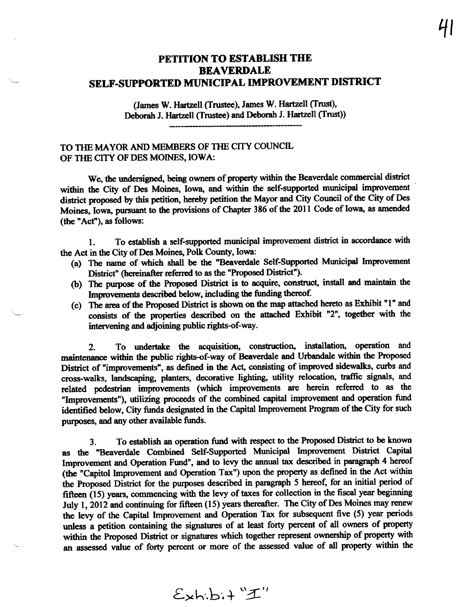## PETITION TO ESTABLISH THE **BEAVERDALE** SELF-SUPPORTED MUNICIPAL IMPROVEMENT DISTRICT

(James W. Hartzell (Trustee), James W. Hartzell (Trust), Deborah J. Hartzell (Trustee) and Deborah J. Hartzell (Trust))

TO THE MAYOR AND MEMBERS OF THE CITY COUNCIL OF THE CITY OF DES MOINES, IOWA:

We, the undersigned, being owners of property within the Beaverdale commercial district within the City of Des Moines, Iowa, and within the self-supported municipal improvement district proposed by this petition, hereby petition the Mayor and City Council of the City of Des Moines, Iowa, pursuant to the provisions of Chapter 386 of the 2011 Code of Iowa, as amended (the "Act"), as follows:

To establish a self-supported municipal improvement district in accordance with  $\mathbf{1}$ . the Act in the City of Des Moines, Polk County, Iowa:

- (a) The name of which shall be the "Beaverdale Self-Supported Municipal Improvement District" (hereinafter referred to as the "Proposed District").
- (b) The purpose of the Proposed District is to acquire, construct, install and maintain the Improvements described below, including the funding thereof.
- (c) The area of the Proposed District is shown on the map attached hereto as Exhibit "1" and consists of the properties described on the attached Exhibit "2", together with the intervening and adjoining public rights-of-way.

To undertake the acquisition, construction, installation, operation and  $2.$ maintenance within the public rights-of-way of Beaverdale and Urbandale within the Proposed District of "improvements", as defined in the Act, consisting of improved sidewalks, curbs and cross-walks, landscaping, planters, decorative lighting, utility relocation, traffic signals, and related pedestrian improvements (which improvements are herein referred to as the "Improvements"), utilizing proceeds of the combined capital improvement and operation fund identified below, City funds designated in the Capital Improvement Program of the City for such purposes, and any other available funds.

To establish an operation fund with respect to the Proposed District to be known  $3<sub>1</sub>$ as the "Beaverdale Combined Self-Supported Municipal Improvement District Capital Improvement and Operation Fund", and to levy the annual tax described in paragraph 4 hereof (the "Capitol Improvement and Operation Tax") upon the property as defined in the Act within the Proposed District for the purposes described in paragraph 5 hereof, for an initial period of fifteen (15) years, commencing with the levy of taxes for collection in the fiscal year beginning July 1, 2012 and continuing for fifteen (15) years thereafter. The City of Des Moines may renew the levy of the Capital Improvement and Operation Tax for subsequent five (5) year periods unless a petition containing the signatures of at least forty percent of all owners of property within the Proposed District or signatures which together represent ownership of property with an assessed value of forty percent or more of the assessed value of all property within the

 $E$ xhibit "I"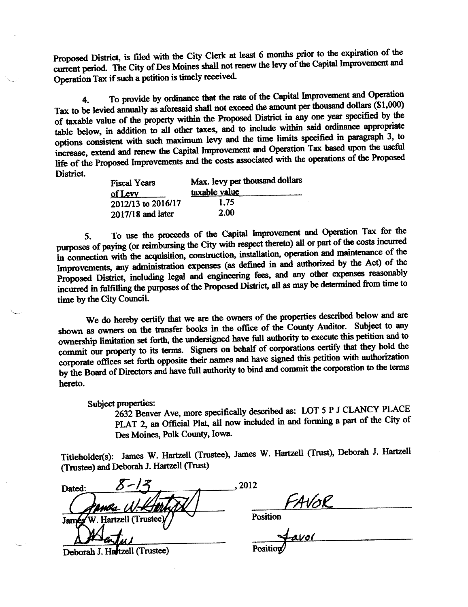Proposed District, is filed with the City Clerk at least 6 months prior to the expiration of the current period. The City of Des Moines shall not renew the levy of the Capital Improvement and Operation Tax if such a petition is timely received.

To provide by ordinance that the rate of the Capital Improvement and Operation  $\ddot{4}$ . Tax to be levied annually as aforesaid shall not exceed the amount per thousand dollars (\$1,000) of taxable value of the property within the Proposed District in any one year specified by the table below, in addition to all other taxes, and to include within said ordinance appropriate options consistent with such maximum levy and the time limits specified in paragraph 3, to increase, extend and renew the Capital Improvement and Operation Tax based upon the useful life of the Proposed Improvements and the costs associated with the operations of the Proposed District.

| <b>Fiscal Years</b><br>of Levy | Max. levy per thousand dollars<br>taxable value |  |  |  |  |  |
|--------------------------------|-------------------------------------------------|--|--|--|--|--|
| 2012/13 to 2016/17             | 1.75                                            |  |  |  |  |  |
| 2017/18 and later              | 2.00                                            |  |  |  |  |  |

To use the proceeds of the Capital Improvement and Operation Tax for the  $5<sub>1</sub>$ purposes of paying (or reimbursing the City with respect thereto) all or part of the costs incurred in connection with the acquisition, construction, installation, operation and maintenance of the Improvements, any administration expenses (as defined in and authorized by the Act) of the Proposed District, including legal and engineering fees, and any other expenses reasonably incurred in fulfilling the purposes of the Proposed District, all as may be determined from time to time by the City Council.

We do hereby certify that we are the owners of the properties described below and are shown as owners on the transfer books in the office of the County Auditor. Subject to any ownership limitation set forth, the undersigned have full authority to execute this petition and to commit our property to its terms. Signers on behalf of corporations certify that they hold the corporate offices set forth opposite their names and have signed this petition with authorization by the Board of Directors and have full authority to bind and commit the corporation to the terms hereto.

Subject properties:

2632 Beaver Ave, more specifically described as: LOT 5 P J CLANCY PLACE PLAT 2, an Official Plat, all now included in and forming a part of the City of Des Moines, Polk County, Iowa.

Titleholder(s): James W. Hartzell (Trustee), James W. Hartzell (Trust), Deborah J. Hartzell (Trustee) and Deborah J. Hartzell (Trust)

, 2012 Dated:  $44\sqrt{6}$ <br>Position<br> $44\sqrt{6}$ W. Hartzell (Trustee) Jamés Deborah J. Hartzell (Trustee)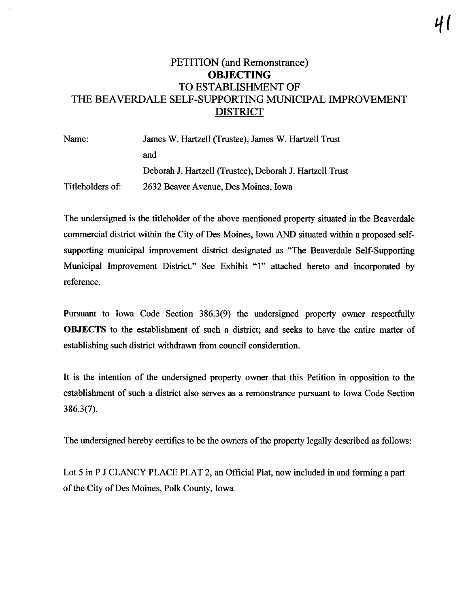# PETITION (and Remonstrance) OBJECTING TO ESTABLISHMENT OF THE BEAVERDALE SELF-SUPPORTING MUNICIPAL IMPROVEMENT **DISTRICT**

Name: Titleholders of: James W. Hartzell (Trustee), James W. Hartzell Trust and Deborah J. Hartzell (Trustee), Deborah J. Hartzell Trust 2632 Beaver Avenue, Des Moines, Iowa

The undersigned is the titleholder of the above mentioned property situated in the Beaverdale commercial district within the City of Des Moines, Iowa AND situated within a proposed selfsupporting municipal improvement district designated as "The Beaverdale Self-Supporting Municipal Improvement District." See Exhibit "1" attached hereto and incorporated by reference,

Pursuant to Iowa Code Section 386.3(9) the undersigned property owner respectfully OBJECTS to the establishment of such a district; and seeks to have the entire matter of establishing such district withdrawn from council consideration.

It is the intention of the undersigned property owner that this Petition in opposition to the establishment of such a district also serves as a remonstrance pursuat to Iowa Code Section 386.3(7),

The undersigned hereby certifies to be the owners of the property legally described as follows:

Lot 5 in P J CLANCY PLACE PLAT 2, an Official Plat, now included in and forming a part of the City of Des Moines, Polk County, Iowa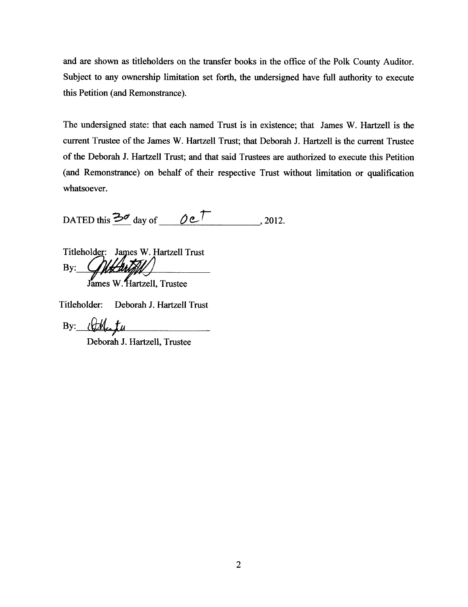and are shown as titleholders on the transfer books in the office of the Polk County Auditor. Subject to any ownership limitation set forth, the undersigned have full authority to execute this Petition (and Remonstrance).

The undersigned state: that each named Trust is in existence; that James W, Harzell is the current Trustee of the James W. Hartzell Trust; that Deborah J. Hartzell is the current Trustee of the Deborah J. Hartell Trust; and that said Trustees are authorized to execute this Petition (and Remonstrance) on behalf of their respective Trust without limitation or qualification whatsoever.

DATED this  $\frac{3d}{20}$  day of  $\theta e^{\frac{1}{2}}$ , 2012.

Titleholder: James W. Hartzell Trust<br>By: *Glutentell* 

James W. Hartzell, Trustee

Titleholder: Deborah J. Hartzell Trust

By:  $\ell \not\subset \mathbb{M}$ 

Deborah J. Hartzell, Trustee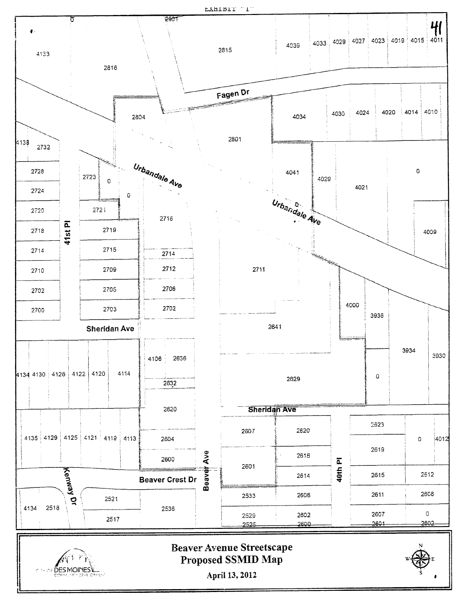EXHIBIT "I"



April 13, 2012